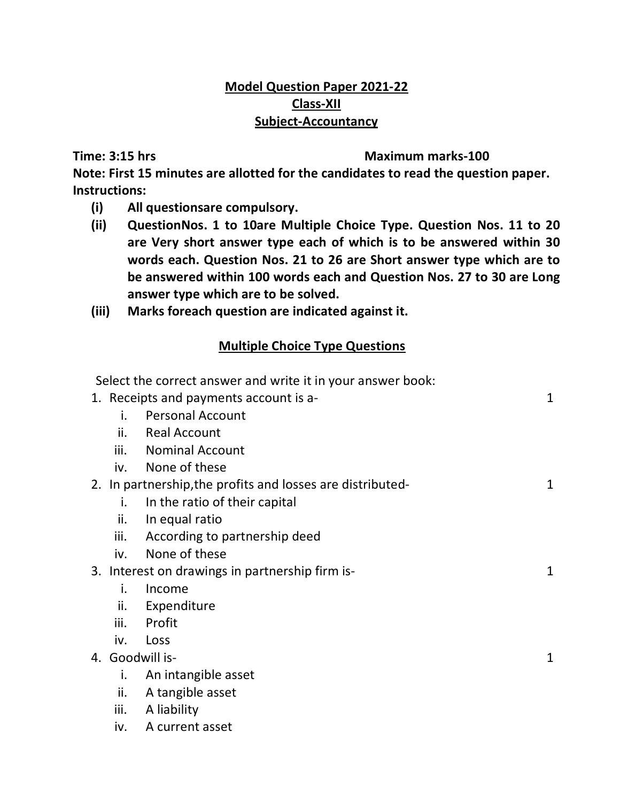## **Model Question Paper 2021-22 Class-XII Subject-Accountancy**

#### **Time: 3:15 hrs Maximum marks-100**

**Note: First 15 minutes are allotted for the candidates to read the question paper. Instructions:** 

**(i) All questionsare compulsory.** 

iv. A current asset

- **(ii) QuestionNos. 1 to 10are Multiple Choice Type. Question Nos. 11 to 20 are Very short answer type each of which is to be answered within 30 words each. Question Nos. 21 to 26 are Short answer type which are to be answered within 100 words each and Question Nos. 27 to 30 are Long answer type which are to be solved.**
- **(iii) Marks foreach question are indicated against it.**

# **Multiple Choice Type Questions**

|                 | Select the correct answer and write it in your answer book: |   |
|-----------------|-------------------------------------------------------------|---|
|                 | 1. Receipts and payments account is a-                      | 1 |
| i.              | <b>Personal Account</b>                                     |   |
| ii.             | <b>Real Account</b>                                         |   |
|                 | iii. Nominal Account                                        |   |
|                 | iv. None of these                                           |   |
|                 | 2. In partnership, the profits and losses are distributed-  | 1 |
| i.              | In the ratio of their capital                               |   |
| ii.             | In equal ratio                                              |   |
| iii.            | According to partnership deed                               |   |
| iv.             | None of these                                               |   |
|                 | 3. Interest on drawings in partnership firm is-             | 1 |
| i.              | Income                                                      |   |
| ii.             | Expenditure                                                 |   |
| iii.            | Profit                                                      |   |
| iv.             | Loss                                                        |   |
| 4. Goodwill is- |                                                             | 1 |
| i.              | An intangible asset                                         |   |
| ii.             | A tangible asset                                            |   |
| iii.            | A liability                                                 |   |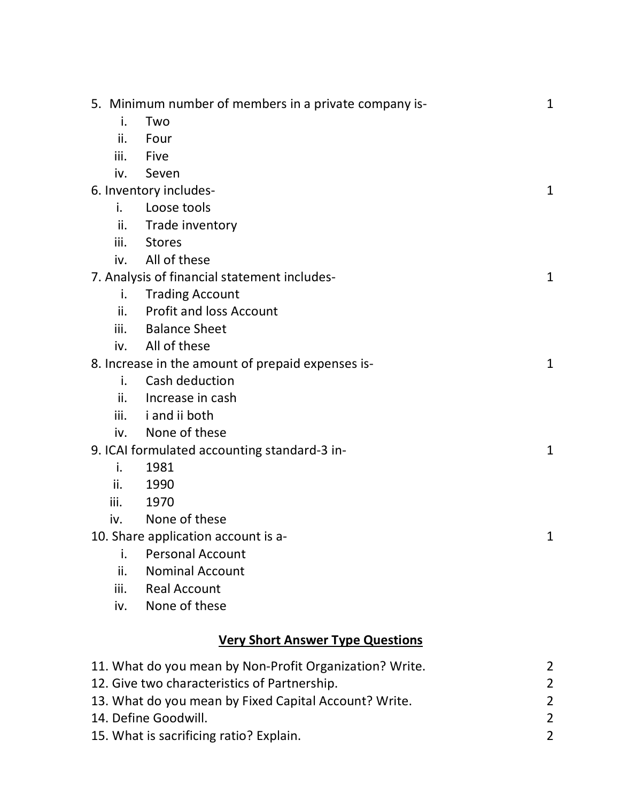|      | 5. Minimum number of members in a private company is-   | $\mathbf{1}$   |
|------|---------------------------------------------------------|----------------|
| i.   | Two                                                     |                |
| ii.  | Four                                                    |                |
| iii. | Five                                                    |                |
| iv.  | Seven                                                   |                |
|      | 6. Inventory includes-                                  | 1              |
| i.   | Loose tools                                             |                |
| ii.  | Trade inventory                                         |                |
| iii. | <b>Stores</b>                                           |                |
| iv.  | All of these                                            |                |
|      | 7. Analysis of financial statement includes-            | $\mathbf{1}$   |
| i.   | <b>Trading Account</b>                                  |                |
| ii.  | <b>Profit and loss Account</b>                          |                |
| iii. | <b>Balance Sheet</b>                                    |                |
| iv.  | All of these                                            |                |
|      | 8. Increase in the amount of prepaid expenses is-       | $\mathbf{1}$   |
| i.   | Cash deduction                                          |                |
| ii.  | Increase in cash                                        |                |
| iii. | i and ii both                                           |                |
| iv.  | None of these                                           |                |
|      | 9. ICAI formulated accounting standard-3 in-            | $\mathbf{1}$   |
| i.   | 1981                                                    |                |
| ii.  | 1990                                                    |                |
| iii. | 1970                                                    |                |
| iv.  | None of these                                           |                |
|      | 10. Share application account is a-                     | 1              |
| İ.   | <b>Personal Account</b>                                 |                |
| ii.  | <b>Nominal Account</b>                                  |                |
| iii. | <b>Real Account</b>                                     |                |
| iv.  | None of these                                           |                |
|      | <b>Very Short Answer Type Questions</b>                 |                |
|      | 11. What do you mean by Non-Profit Organization? Write. | 2              |
|      | 12. Give two characteristics of Partnership.            | 2              |
|      | 13. What do you mean by Fixed Capital Account? Write.   | 2              |
|      | 14. Define Goodwill.                                    | $\overline{2}$ |
|      |                                                         |                |

- 
- 15. What is sacrificing ratio? Explain. 2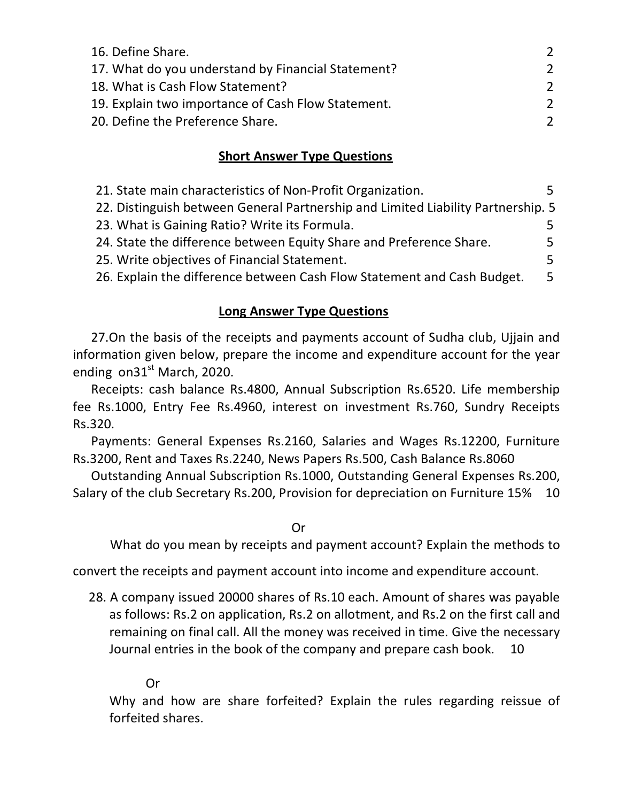| 16. Define Share.                                  | 2   |
|----------------------------------------------------|-----|
| 17. What do you understand by Financial Statement? | 2   |
| 18. What is Cash Flow Statement?                   | 2   |
| 19. Explain two importance of Cash Flow Statement. | 2   |
| 20. Define the Preference Share.                   | - 2 |

### **Short Answer Type Questions**

| 21. State main characteristics of Non-Profit Organization.                       | 5. |  |
|----------------------------------------------------------------------------------|----|--|
| 22. Distinguish between General Partnership and Limited Liability Partnership. 5 |    |  |
| 23. What is Gaining Ratio? Write its Formula.                                    | 5. |  |
| 24. State the difference between Equity Share and Preference Share.              | 5. |  |
| 25. Write objectives of Financial Statement.                                     | 5. |  |
| 26. Explain the difference between Cash Flow Statement and Cash Budget.          | 5. |  |

### **Long Answer Type Questions**

27.On the basis of the receipts and payments account of Sudha club, Ujjain and information given below, prepare the income and expenditure account for the year ending  $\text{on}31^\text{st}$  March, 2020.

Receipts: cash balance Rs.4800, Annual Subscription Rs.6520. Life membership fee Rs.1000, Entry Fee Rs.4960, interest on investment Rs.760, Sundry Receipts Rs.320.

Payments: General Expenses Rs.2160, Salaries and Wages Rs.12200, Furniture Rs.3200, Rent and Taxes Rs.2240, News Papers Rs.500, Cash Balance Rs.8060

Outstanding Annual Subscription Rs.1000, Outstanding General Expenses Rs.200, Salary of the club Secretary Rs.200, Provision for depreciation on Furniture 15% 10

Or

What do you mean by receipts and payment account? Explain the methods to

convert the receipts and payment account into income and expenditure account.

 28. A company issued 20000 shares of Rs.10 each. Amount of shares was payable as follows: Rs.2 on application, Rs.2 on allotment, and Rs.2 on the first call and remaining on final call. All the money was received in time. Give the necessary Journal entries in the book of the company and prepare cash book. 10

#### Or

Why and how are share forfeited? Explain the rules regarding reissue of forfeited shares.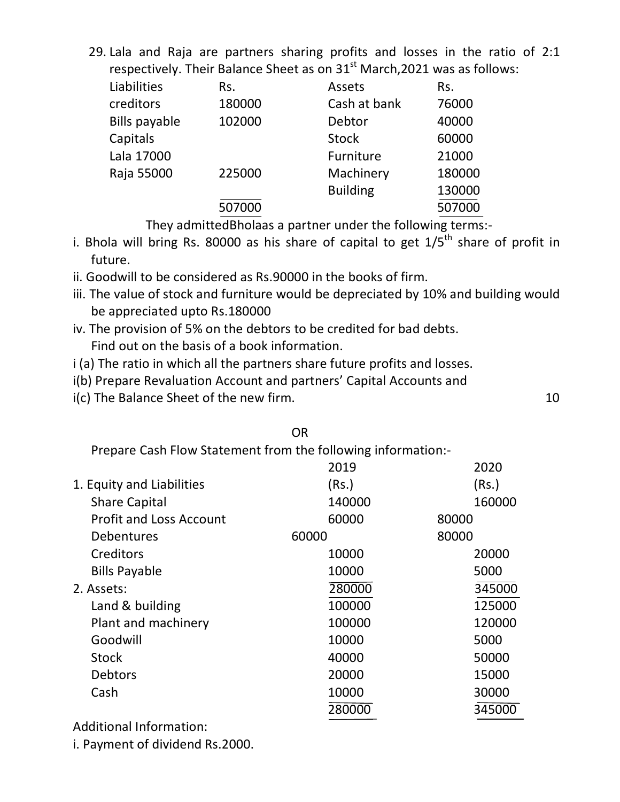29. Lala and Raja are partners sharing profits and losses in the ratio of 2:1 respectively. Their Balance Sheet as on  $31<sup>st</sup>$  March, 2021 was as follows:

| Assets                               |        |
|--------------------------------------|--------|
|                                      | Rs.    |
| Cash at bank                         | 76000  |
| Debtor                               | 40000  |
| <b>Stock</b>                         | 60000  |
| Furniture                            | 21000  |
| Machinery                            | 180000 |
| <b>Building</b>                      | 130000 |
|                                      | 507000 |
| 180000<br>102000<br>225000<br>507000 |        |

They admittedBholaas a partner under the following terms:-

- i. Bhola will bring Rs. 80000 as his share of capital to get  $1/5<sup>th</sup>$  share of profit in future.
- ii. Goodwill to be considered as Rs.90000 in the books of firm.
- iii. The value of stock and furniture would be depreciated by 10% and building would be appreciated upto Rs.180000
- iv. The provision of 5% on the debtors to be credited for bad debts. Find out on the basis of a book information.
- i (a) The ratio in which all the partners share future profits and losses.
- i(b) Prepare Revaluation Account and partners' Capital Accounts and
- $i(c)$  The Balance Sheet of the new firm.  $10$

### OR

Prepare Cash Flow Statement from the following information:-

|                                | 2019   | 2020   |
|--------------------------------|--------|--------|
| 1. Equity and Liabilities      | (Rs.)  | (Rs.)  |
| <b>Share Capital</b>           | 140000 | 160000 |
| <b>Profit and Loss Account</b> | 60000  | 80000  |
| <b>Debentures</b>              | 60000  | 80000  |
| Creditors                      | 10000  | 20000  |
| <b>Bills Payable</b>           | 10000  | 5000   |
| 2. Assets:                     | 280000 | 345000 |
| Land & building                | 100000 | 125000 |
| Plant and machinery            | 100000 | 120000 |
| Goodwill                       | 10000  | 5000   |
| <b>Stock</b>                   | 40000  | 50000  |
| <b>Debtors</b>                 | 20000  | 15000  |
| Cash                           | 10000  | 30000  |
|                                | 280000 | 345000 |
| .<br>.                         |        |        |

Additional Information:

i. Payment of dividend Rs.2000.